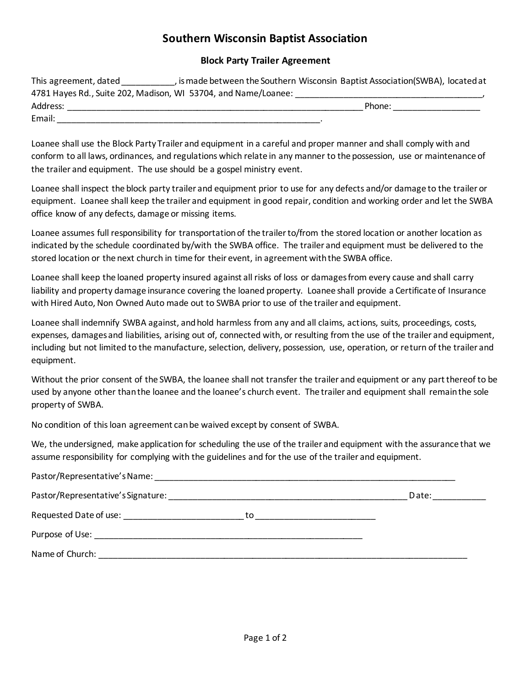## **Southern Wisconsin Baptist Association**

## **Block Party Trailer Agreement**

| This agreement, dated                                          | , is made between the Southern Wisconsin Baptist Association(SWBA), located at |  |
|----------------------------------------------------------------|--------------------------------------------------------------------------------|--|
| 4781 Hayes Rd., Suite 202, Madison, WI 53704, and Name/Loanee: |                                                                                |  |
| Address:                                                       | Phone:                                                                         |  |
| Email:                                                         |                                                                                |  |

Loanee shall use the Block Party Trailer and equipment in a careful and proper manner and shall comply with and conform to all laws, ordinances, and regulations which relate in any manner to the possession, use or maintenance of the trailer and equipment. The use should be a gospel ministry event.

Loanee shall inspect the block party trailer and equipment prior to use for any defects and/or damage to the trailer or equipment. Loanee shall keep the trailer and equipment in good repair, condition and working order and let the SWBA office know of any defects, damage or missing items.

Loanee assumes full responsibility for transportation of the trailer to/from the stored location or another location as indicated by the schedule coordinated by/with the SWBA office. The trailer and equipment must be delivered to the stored location or the next church in time for their event, in agreement with the SWBA office.

Loanee shall keep the loaned property insured against all risks of loss or damages from every cause and shall carry liability and property damage insurance covering the loaned property. Loanee shall provide a Certificate of Insurance with Hired Auto, Non Owned Auto made out to SWBA prior to use of the trailer and equipment.

Loanee shall indemnify SWBA against, and hold harmless from any and all claims, actions, suits, proceedings, costs, expenses, damages and liabilities, arising out of, connected with, or resulting from the use of the trailer and equipment, including but not limited to the manufacture, selection, delivery, possession, use, operation, or return of the trailer and equipment.

Without the prior consent of the SWBA, the loanee shall not transfer the trailer and equipment or any part thereof to be used by anyone other than the loanee and the loanee's church event. The trailer and equipment shall remain the sole property of SWBA.

No condition of this loan agreement can be waived except by consent of SWBA.

We, the undersigned, make application for scheduling the use of the trailer and equipment with the assurance that we assume responsibility for complying with the guidelines and for the use of the trailer and equipment.

| Pastor/Representative's Signature: | Date: |
|------------------------------------|-------|
| Requested Date of use:<br>to.      |       |
|                                    |       |
| Name of Church: Name of Church:    |       |